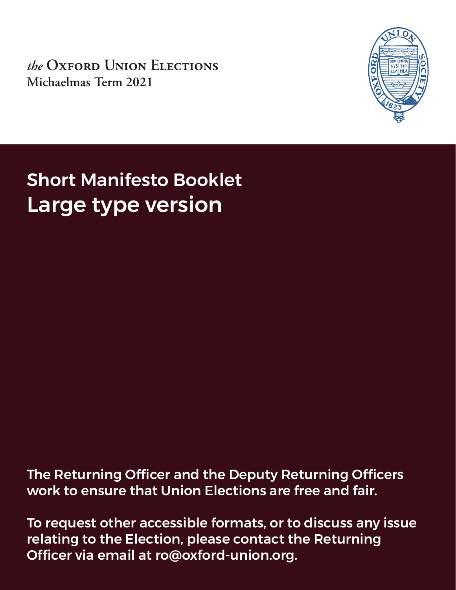*the* **Oxford Union Elections Michaelmas Term 2021**



Short Manifesto Booklet Large type version

The Returning Officer and the Deputy Returning Officers work to ensure that Union Elections are free and fair.

To request other accessible formats, or to discuss any issue relating to the Election, please contact the Returning Officer via email at ro@oxford-union.org.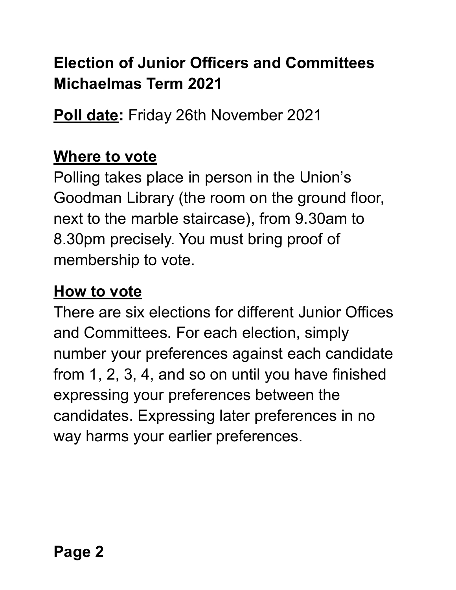# **Election of Junior Officers and Committees Michaelmas Term 2021**

**Poll date:** Friday 26th November 2021

# **Where to vote**

Polling takes place in person in the Union's Goodman Library (the room on the ground floor, next to the marble staircase), from 9.30am to 8.30pm precisely. You must bring proof of membership to vote.

# **How to vote**

There are six elections for different Junior Offices and Committees. For each election, simply number your preferences against each candidate from 1, 2, 3, 4, and so on until you have finished expressing your preferences between the candidates. Expressing later preferences in no way harms your earlier preferences.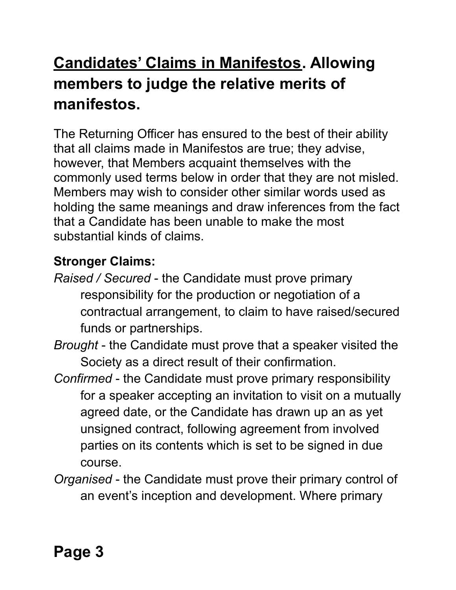# **Candidates' Claims in Manifestos. Allowing members to judge the relative merits of manifestos.**

The Returning Officer has ensured to the best of their ability that all claims made in Manifestos are true; they advise, however, that Members acquaint themselves with the commonly used terms below in order that they are not misled. Members may wish to consider other similar words used as holding the same meanings and draw inferences from the fact that a Candidate has been unable to make the most substantial kinds of claims.

# **Stronger Claims:**

- *Raised / Secured* the Candidate must prove primary responsibility for the production or negotiation of a contractual arrangement, to claim to have raised/secured funds or partnerships.
- *Brought* the Candidate must prove that a speaker visited the Society as a direct result of their confirmation.
- *Confirmed* the Candidate must prove primary responsibility for a speaker accepting an invitation to visit on a mutually agreed date, or the Candidate has drawn up an as yet unsigned contract, following agreement from involved parties on its contents which is set to be signed in due course.
- *Organised* the Candidate must prove their primary control of an event's inception and development. Where primary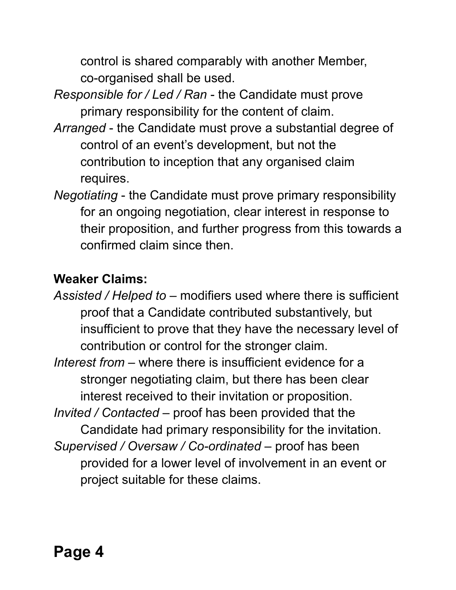control is shared comparably with another Member, co-organised shall be used.

- *Responsible for / Led / Ran* the Candidate must prove primary responsibility for the content of claim.
- *Arranged* the Candidate must prove a substantial degree of control of an event's development, but not the contribution to inception that any organised claim requires.
- *Negotiating* the Candidate must prove primary responsibility for an ongoing negotiation, clear interest in response to their proposition, and further progress from this towards a confirmed claim since then.

# **Weaker Claims:**

*Assisted / Helped to* – modifiers used where there is sufficient proof that a Candidate contributed substantively, but insufficient to prove that they have the necessary level of contribution or control for the stronger claim. *Interest from* – where there is insufficient evidence for a stronger negotiating claim, but there has been clear interest received to their invitation or proposition. *Invited / Contacted* – proof has been provided that the Candidate had primary responsibility for the invitation. *Supervised / Oversaw / Co-ordinated* – proof has been provided for a lower level of involvement in an event or project suitable for these claims.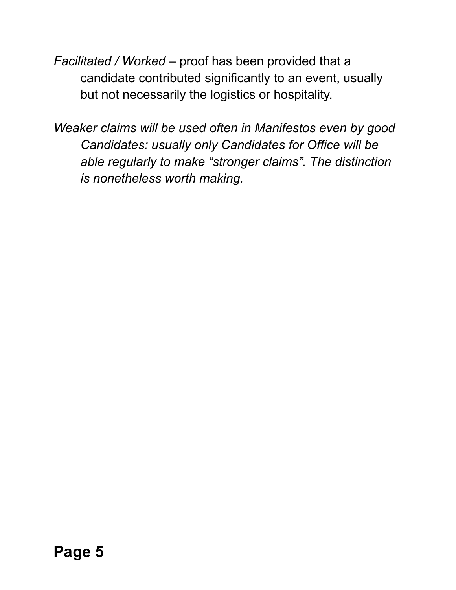*Facilitated / Worked* – proof has been provided that a candidate contributed significantly to an event, usually but not necessarily the logistics or hospitality.

*Weaker claims will be used often in Manifestos even by good Candidates: usually only Candidates for Office will be able regularly to make "stronger claims". The distinction is nonetheless worth making.*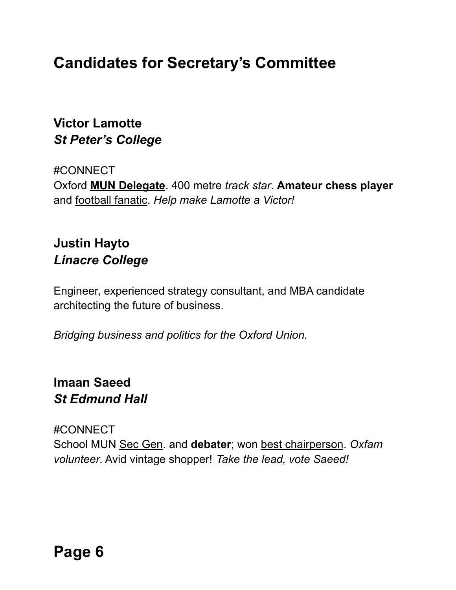# **Candidates for Secretary's Committee**

# **Victor Lamotte** *St Peter's College*

#CONNECT Oxford **MUN Delegate**. 400 metre *track star*. **Amateur chess player** and football fanatic. *Help make Lamotte a Victor!*

# **Justin Hayto** *Linacre College*

Engineer, experienced strategy consultant, and MBA candidate architecting the future of business.

*Bridging business and politics for the Oxford Union.*

# **Imaan Saeed** *St Edmund Hall*

#CONNECT School MUN Sec Gen. and **debater**; won best chairperson. *Oxfam volunteer*. Avid vintage shopper! *Take the lead, vote Saeed!*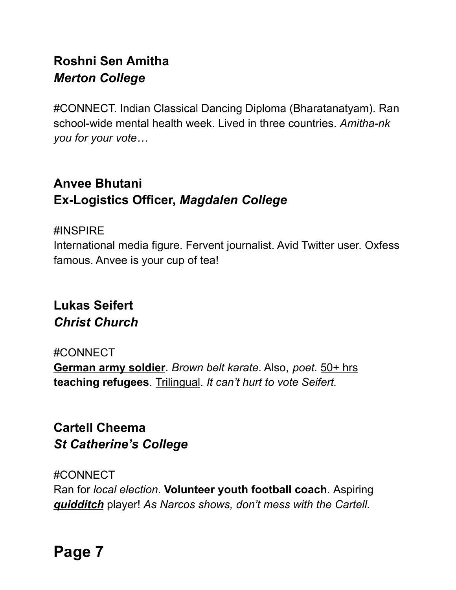# **Roshni Sen Amitha** *Merton College*

#CONNECT. Indian Classical Dancing Diploma (Bharatanatyam). Ran school-wide mental health week. Lived in three countries. *Amitha-nk you for your vote…*

# **Anvee Bhutani Ex-Logistics Officer,** *Magdalen College*

#### #INSPIRE

International media figure. Fervent journalist. Avid Twitter user. Oxfess famous. Anvee is your cup of tea!

# **Lukas Seifert** *Christ Church*

#### #CONNECT

**German army soldier**. *Brown belt karate*. Also, *poet.* 50+ hrs **teaching refugees**. Trilingual. *It can't hurt to vote Seifert.*

# **Cartell Cheema** *St Catherine's College*

#CONNECT Ran for *local election*. **Volunteer youth football coach**. Aspiring *quidditch* player! *As Narcos shows, don't mess with the Cartell.*

**Page 7**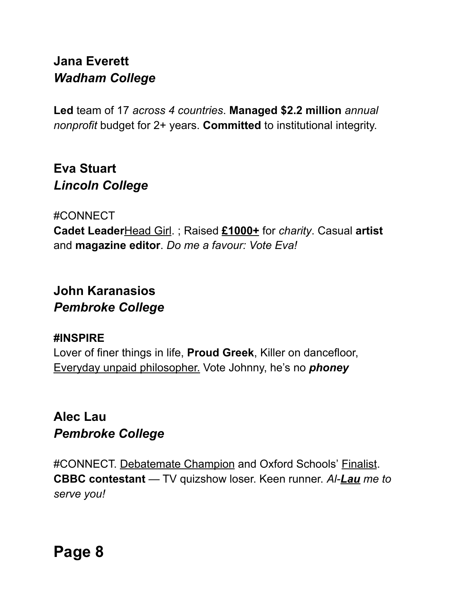# **Jana Everett** *Wadham College*

**Led** team of 17 *across 4 countries*. **Managed \$2.2 million** *annual nonprofit* budget for 2+ years. **Committed** to institutional integrity.

# **Eva Stuart** *Lincoln College*

#CONNECT **Cadet Leader**Head Girl. ; Raised **£1000+** for *charity*. Casual **artist** and **magazine editor**. *Do me a favour: Vote Eva!*

# **John Karanasios** *Pembroke College*

#### **#INSPIRE**

Lover of finer things in life, **Proud Greek**, Killer on dancefloor, Everyday unpaid philosopher. Vote Johnny, he's no *phoney*

# **Alec Lau** *Pembroke College*

#CONNECT. Debatemate Champion and Oxford Schools' Finalist. **CBBC contestant** — TV quizshow loser. Keen runner. *Al-Lau me to serve you!*

**Page 8**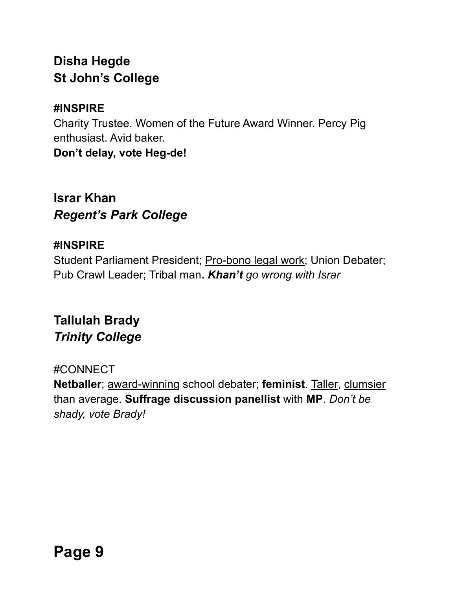# **Disha Hegde St John's College**

### **#INSPIRE**

Charity Trustee. Women of the Future Award Winner. Percy Pig enthusiast. Avid baker. **Don't delay, vote Heg-de!**

**Israr Khan** *Regent's Park College*

### **#INSPIRE**

Student Parliament President; Pro-bono legal work; Union Debater; Pub Crawl Leader; Tribal man**.** *Khan't go wrong with Israr*

# **Tallulah Brady** *Trinity College*

### #CONNECT

**Netballer**; award-winning school debater; **feminist**. Taller, clumsier than average. **Suffrage discussion panellist** with **MP**. *Don't be shady, vote Brady!*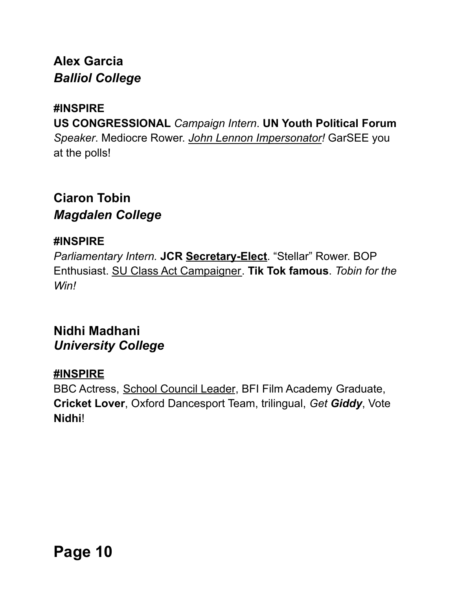# **Alex Garcia** *Balliol College*

#### **#INSPIRE**

**US CONGRESSIONAL** *Campaign Intern*. **UN Youth Political Forum** *Speaker*. Mediocre Rower. *John Lennon Impersonator!* GarSEE you at the polls!

# **Ciaron Tobin** *Magdalen College*

#### **#INSPIRE**

*Parliamentary Intern.* **JCR Secretary-Elect**. "Stellar" Rower. BOP Enthusiast. SU Class Act Campaigner. **Tik Tok famous**. *Tobin for the Win!*

### **Nidhi Madhani** *University College*

### **#INSPIRE**

BBC Actress, School Council Leader, BFI Film Academy Graduate, **Cricket Lover**, Oxford Dancesport Team, trilingual, *Get Giddy*, Vote **Nidhi**!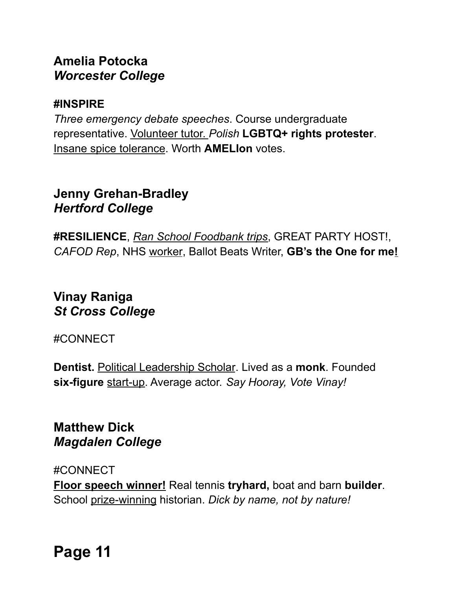# **Amelia Potocka** *Worcester College*

#### **#INSPIRE**

*Three emergency debate speeches*. Course undergraduate representative. Volunteer tutor. *Polish* **LGBTQ+ rights protester**. Insane spice tolerance. Worth **AMELIon** votes.

### **Jenny Grehan-Bradley** *Hertford College*

**#RESILIENCE**, *Ran School Foodbank trips*, GREAT PARTY HOST!, *CAFOD Rep*, NHS worker, Ballot Beats Writer, **GB's the One for me!**

# **Vinay Raniga** *St Cross College*

#CONNECT

**Dentist.** Political Leadership Scholar. Lived as a **monk**. Founded **six-figure** start-up. Average actor. *Say Hooray, Vote Vinay!*

### **Matthew Dick** *Magdalen College*

#CONNECT

**Floor speech winner!** Real tennis **tryhard,** boat and barn **builder**. School prize-winning historian. *Dick by name, not by nature!*

**Page 11**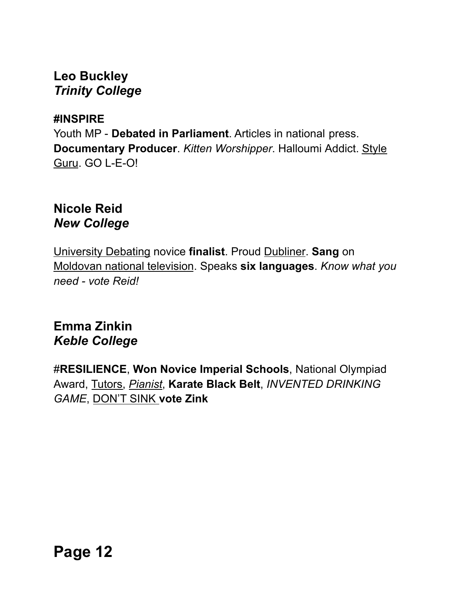### **Leo Buckley** *Trinity College*

#### **#INSPIRE**

Youth MP - **Debated in Parliament**. Articles in national press. **Documentary Producer**. *Kitten Worshipper*. Halloumi Addict. Style Guru. GO L-E-O!

## **Nicole Reid** *New College*

University Debating novice **finalist**. Proud Dubliner. **Sang** on Moldovan national television. Speaks **six languages**. *Know what you need - vote Reid!*

# **Emma Zinkin** *Keble College*

#**RESILIENCE**, **Won Novice Imperial Schools**, National Olympiad Award, Tutors, *Pianist*, **Karate Black Belt**, *INVENTED DRINKING GAME*, DON'T SINK **vote Zink**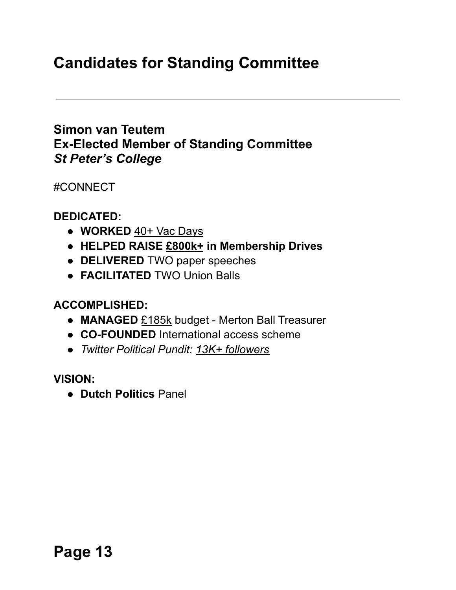# **Candidates for Standing Committee**

### **Simon van Teutem Ex-Elected Member of Standing Committee** *St Peter's College*

#CONNECT

**DEDICATED:**

- **WORKED** 40+ Vac Days
- **HELPED RAISE £800k+ in Membership Drives**
- **DELIVERED** TWO paper speeches
- **FACILITATED** TWO Union Balls

**ACCOMPLISHED:**

- **MANAGED** £185k budget Merton Ball Treasurer
- **CO-FOUNDED** International access scheme
- *● Twitter Political Pundit: 13K+ followers*

**VISION:**

● **Dutch Politics** Panel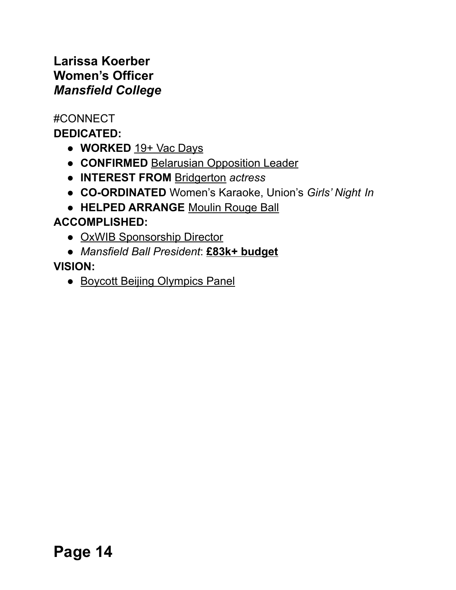### **Larissa Koerber Women's Officer** *Mansfield College*

#CONNECT

**DEDICATED:**

- **WORKED** 19+ Vac Days
- **CONFIRMED** Belarusian Opposition Leader
- **INTEREST FROM** Bridgerton *actress*
- **CO-ORDINATED** Women's Karaoke, Union's *Girls' Night In*
- **HELPED ARRANGE** Moulin Rouge Ball

# **ACCOMPLISHED:**

- OxWIB Sponsorship Director
- *Mansfield Ball President*: **£83k+ budget**

### **VISION:**

• Boycott Beijing Olympics Panel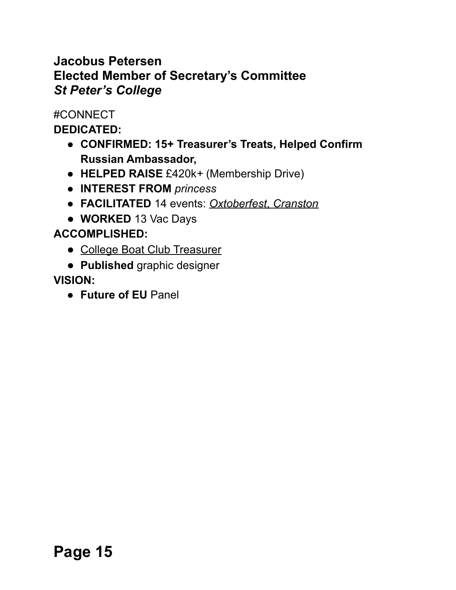## **Jacobus Petersen Elected Member of Secretary's Committee** *St Peter's College*

#CONNECT

**DEDICATED:**

- **CONFIRMED: 15+ Treasurer's Treats, Helped Confirm Russian Ambassador,**
- **HELPED RAISE** £420k*+* (Membership Drive)
- **INTEREST FROM** *princess*
- **FACILITATED** 14 events: *Oxtoberfest*, *Cranston*
- **WORKED** 13 Vac Days

# **ACCOMPLISHED:**

- College Boat Club Treasurer
- **Published** graphic designer

# **VISION:**

● **Future of EU** Panel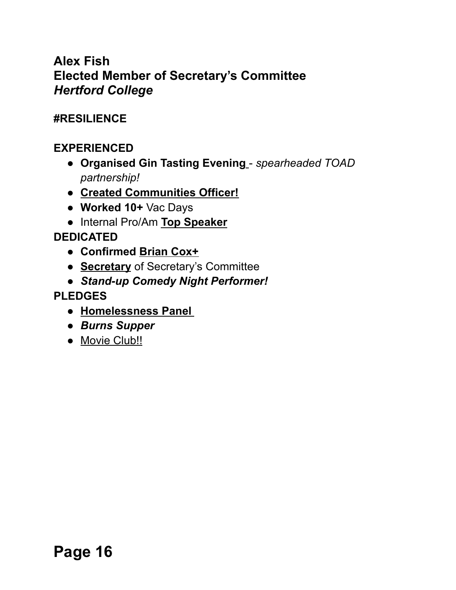# **Alex Fish Elected Member of Secretary's Committee** *Hertford College*

#### **#RESILIENCE**

### **EXPERIENCED**

- **● Organised Gin Tasting Evening** *spearheaded TOAD partnership!*
- **● Created Communities Officer!**
- **Worked 10+** Vac Days
- **●** Internal Pro/Am **Top Speaker**

#### **DEDICATED**

- **● Confirmed Brian Cox+**
- **● Secretary** of Secretary's Committee
- **●** *Stand-up Comedy Night Performer!*

#### **PLEDGES**

- **Homelessness Panel**
- *● Burns Supper*
- Movie Club!!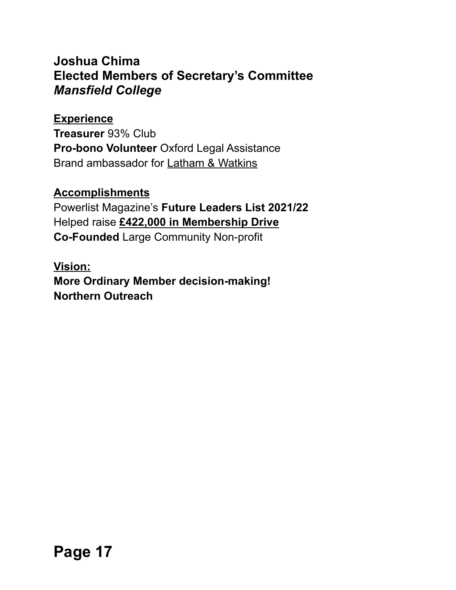### **Joshua Chima Elected Members of Secretary's Committee** *Mansfield College*

#### **Experience**

**Treasurer** 93% Club **Pro-bono Volunteer** Oxford Legal Assistance Brand ambassador for Latham & Watkins

#### **Accomplishments**

Powerlist Magazine's **Future Leaders List 2021/22** Helped raise **£422,000 in Membership Drive Co-Founded** Large Community Non-profit

### **Vision: More Ordinary Member decision-making! Northern Outreach**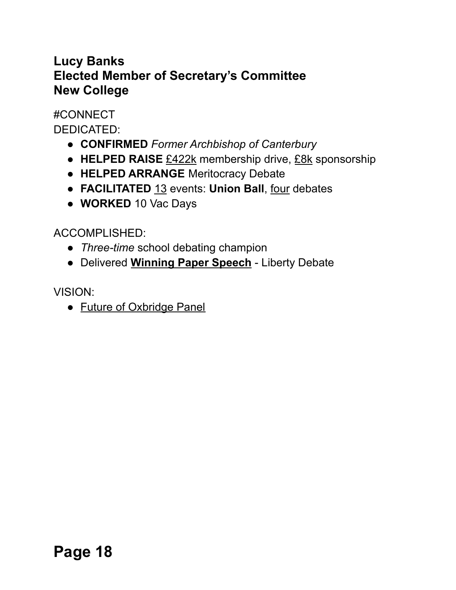# **Lucy Banks Elected Member of Secretary's Committee New College**

#CONNECT DEDICATED:

- **CONFIRMED** *Former Archbishop of Canterbury*
- **HELPED RAISE** £422k membership drive, £8k sponsorship
- **HELPED ARRANGE** Meritocracy Debate
- **FACILITATED** 13 events: **Union Ball**, four debates
- **WORKED** 10 Vac Days

ACCOMPLISHED:

- *Three-time* school debating champion
- Delivered **Winning Paper Speech** Liberty Debate

VISION:

• Future of Oxbridge Panel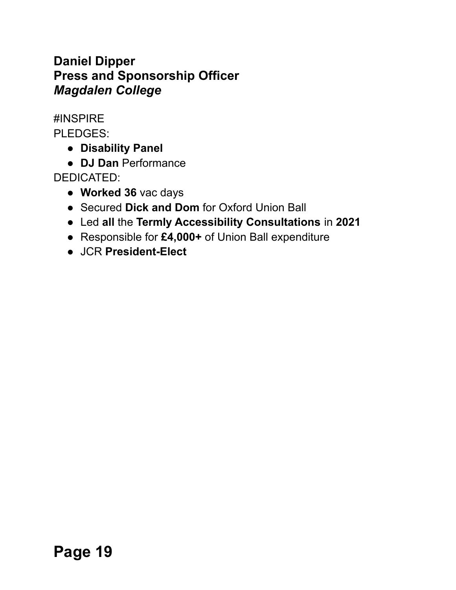# **Daniel Dipper Press and Sponsorship Officer** *Magdalen College*

#INSPIRE

PLEDGES:

- **● Disability Panel**
- **DJ Dan** Performance

DEDICATED:

- **Worked 36** vac days
- Secured **Dick and Dom** for Oxford Union Ball
- Led **all** the **Termly Accessibility Consultations** in **2021**
- **●** Responsible for **£4,000+** of Union Ball expenditure
- JCR **President-Elect**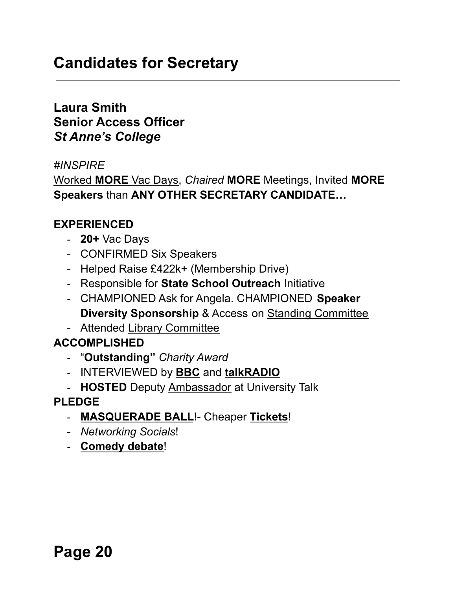# **Candidates for Secretary**

### **Laura Smith Senior Access Officer** *St Anne's College*

#### *#INSPIRE*

Worked **MORE** Vac Days, *Chaired* **MORE** Meetings, Invited **MORE Speakers** than **ANY OTHER SECRETARY CANDIDATE…**

#### **EXPERIENCED**

- **20+** Vac Days
- CONFIRMED Six Speakers
- Helped Raise £422k+ (Membership Drive)
- Responsible for **State School Outreach** Initiative
- CHAMPIONED Ask for Angela. CHAMPIONED **Speaker Diversity Sponsorship** & Access on Standing Committee
- Attended Library Committee

#### **ACCOMPLISHED**

- "**Outstanding"** *Charity Award*
- INTERVIEWED by **BBC** and **talkRADIO**
- **HOSTED** Deputy Ambassador at University Talk

#### **PLEDGE**

- **MASQUERADE BALL**!- Cheaper **Tickets**!
- *Networking Socials*!
- **Comedy debate**!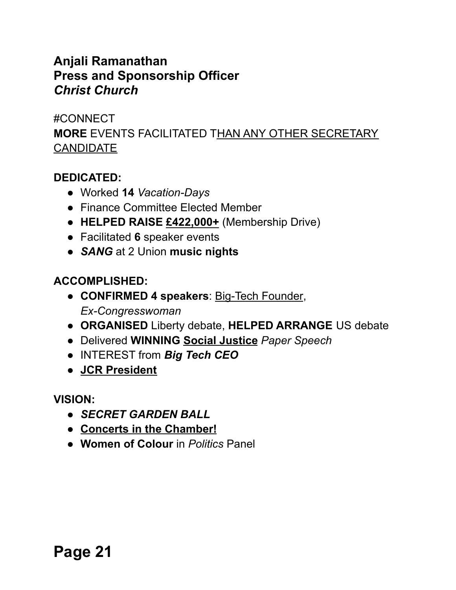## **Anjali Ramanathan Press and Sponsorship Officer** *Christ Church*

#CONNECT **MORE** EVENTS FACILITATED THAN ANY OTHER SECRETARY CANDIDATE

#### **DEDICATED:**

- Worked **14** *Vacation-Days*
- Finance Committee Elected Member
- **HELPED RAISE £422,000+** (Membership Drive)
- Facilitated **6** speaker events
- *SANG* at 2 Union **music nights**

### **ACCOMPLISHED:**

- **CONFIRMED 4 speakers**: Big-Tech Founder, *Ex-Congresswoman*
- **ORGANISED** Liberty debate, **HELPED ARRANGE** US debate
- Delivered **WINNING Social Justice** *Paper Speech*
- INTEREST from *Big Tech CEO*
- **● JCR President**

**VISION:**

- *● SECRET GARDEN BALL*
- **Concerts in the Chamber!**
- **Women of Colour** in *Politics* Panel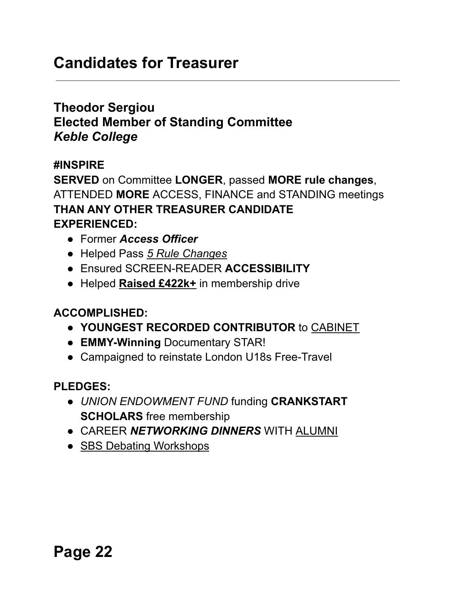# **Candidates for Treasurer**

## **Theodor Sergiou Elected Member of Standing Committee** *Keble College*

#### **#INSPIRE**

**SERVED** on Committee **LONGER**, passed **MORE rule changes**, ATTENDED **MORE** ACCESS, FINANCE and STANDING meetings **THAN ANY OTHER TREASURER CANDIDATE EXPERIENCED:**

- Former *Access Officer*
- Helped Pass *5 Rule Changes*
- Ensured SCREEN-READER **ACCESSIBILITY**
- Helped **Raised £422k+** in membership drive

#### **ACCOMPLISHED:**

- **YOUNGEST RECORDED CONTRIBUTOR** to CABINET
- **EMMY-Winning** Documentary STAR!
- Campaigned to reinstate London U18s Free-Travel

#### **PLEDGES:**

- *UNION ENDOWMENT FUND* funding **CRANKSTART SCHOLARS** free membership
- CAREER *NETWORKING DINNERS* WITH ALUMNI
- SBS Debating Workshops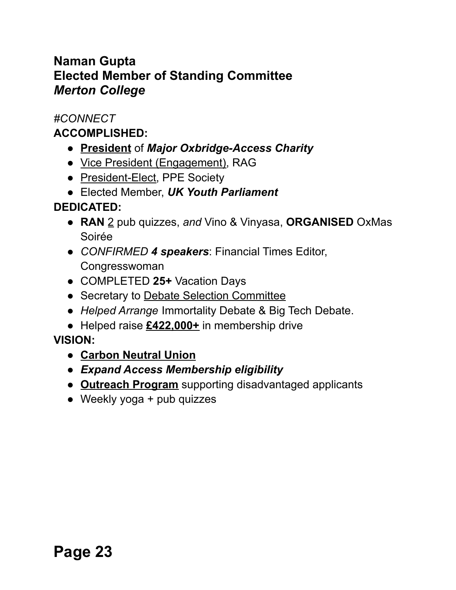# **Naman Gupta Elected Member of Standing Committee** *Merton College*

#### *#CONNECT*

#### **ACCOMPLISHED:**

- **President** of *Major Oxbridge-Access Charity*
- Vice President (Engagement), RAG
- President-Elect, PPE Society
- Elected Member, *UK Youth Parliament*

### **DEDICATED:**

- **RAN** 2 pub quizzes, *and* Vino & Vinyasa, **ORGANISED** OxMas Soirée
- *CONFIRMED 4 speakers*: Financial Times Editor, Congresswoman
- COMPLETED **25+** Vacation Days
- Secretary to Debate Selection Committee
- *● Helped Arrange* Immortality Debate & Big Tech Debate.
- Helped raise **£422,000+** in membership drive

### **VISION:**

- **● Carbon Neutral Union**
- *● Expand Access Membership eligibility*
- *●* **Outreach Program** supporting disadvantaged applicants
- Weekly yoga + pub quizzes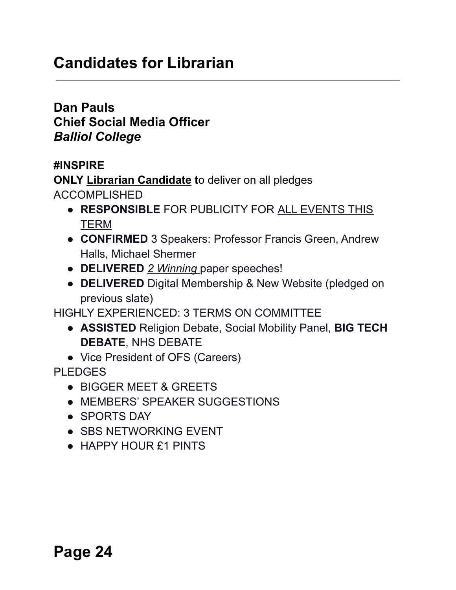# **Candidates for Librarian**

**Dan Pauls Chief Social Media Officer** *Balliol College*

#### **#INSPIRE**

**ONLY Librarian Candidate t**o deliver on all pledges ACCOMPLISHED

- **RESPONSIBLE** FOR PUBLICITY FOR ALL EVENTS THIS TERM
- **CONFIRMED** 3 Speakers: Professor Francis Green, Andrew Halls, Michael Shermer
- **DELIVERED** *2 Winning* paper speeches!
- **DELIVERED** Digital Membership & New Website (pledged on previous slate)

HIGHLY EXPERIENCED: 3 TERMS ON COMMITTEE

- **ASSISTED** Religion Debate, Social Mobility Panel, **BIG TECH DEBATE**, NHS DEBATE
- Vice President of OFS (Careers)

PLEDGES

- BIGGER MEET & GREETS
- MEMBERS' SPEAKER SUGGESTIONS
- SPORTS DAY
- SBS NETWORKING EVENT
- HAPPY HOUR £1 PINTS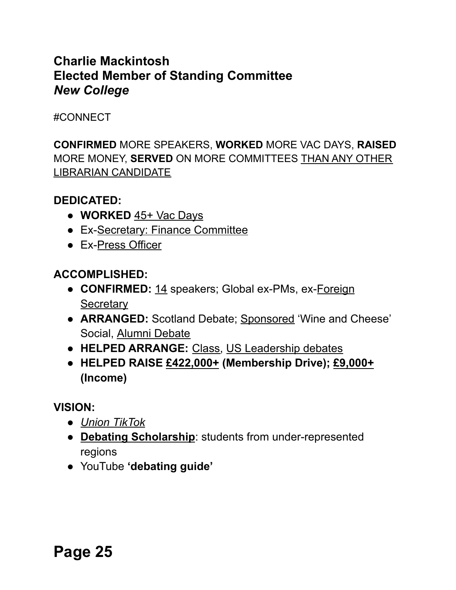# **Charlie Mackintosh Elected Member of Standing Committee** *New College*

#### #CONNECT

**CONFIRMED** MORE SPEAKERS, **WORKED** MORE VAC DAYS, **RAISED** MORE MONEY, **SERVED** ON MORE COMMITTEES THAN ANY OTHER LIBRARIAN CANDIDATE

#### **DEDICATED:**

- **WORKED** 45+ Vac Days
- Ex-Secretary: Finance Committee
- Ex-Press Officer

#### **ACCOMPLISHED:**

- **CONFIRMED:** 14 speakers; Global ex-PMs, ex-Foreign **Secretary**
- **ARRANGED:** Scotland Debate; Sponsored 'Wine and Cheese' Social, Alumni Debate
- **HELPED ARRANGE:** Class, US Leadership debates
- **HELPED RAISE £422,000+ (Membership Drive); £9,000+ (Income)**

#### **VISION:**

- *● Union TikTok*
- **Debating Scholarship**: students from under-represented regions
- YouTube **'debating guide'**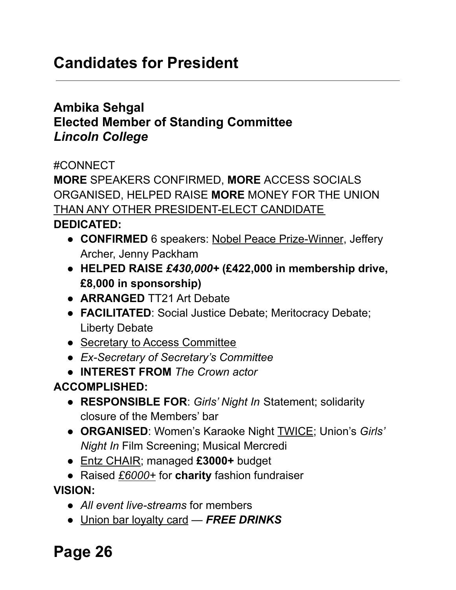# **Candidates for President**

## **Ambika Sehgal Elected Member of Standing Committee** *Lincoln College*

#CONNECT

**MORE** SPEAKERS CONFIRMED, **MORE** ACCESS SOCIALS ORGANISED, HELPED RAISE **MORE** MONEY FOR THE UNION THAN ANY OTHER PRESIDENT-ELECT CANDIDATE

#### **DEDICATED:**

- **CONFIRMED** 6 speakers: Nobel Peace Prize-Winner, Jeffery Archer, Jenny Packham
- **HELPED RAISE** *£430,000+* **(£422,000 in membership drive, £8,000 in sponsorship)**
- *●* **ARRANGED** TT21 Art Debate
- *●* **FACILITATED**: Social Justice Debate; Meritocracy Debate; Liberty Debate
- Secretary to Access Committee
- *Ex-Secretary of Secretary's Committee*
- *●* **INTEREST FROM** *The Crown actor*

# **ACCOMPLISHED:**

- **RESPONSIBLE FOR**: *Girls' Night In* Statement; solidarity closure of the Members' bar
- **ORGANISED**: Women's Karaoke Night TWICE; Union's *Girls' Night In* Film Screening; Musical Mercredi
- Entz CHAIR; managed **£3000+** budget
- Raised *£6000+* for **charity** fashion fundraiser

**VISION:**

- *All event live-streams* for members
- Union bar loyalty card *FREE DRINKS*

**Page 26**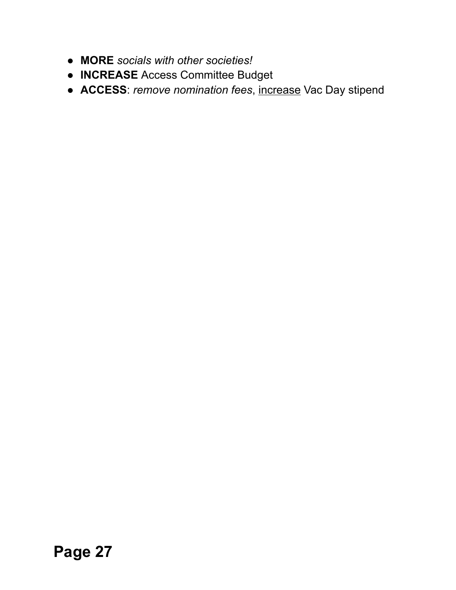- **MORE** *socials with other societies!*
- **INCREASE** Access Committee Budget
- **ACCESS**: *remove nomination fees*, increase Vac Day stipend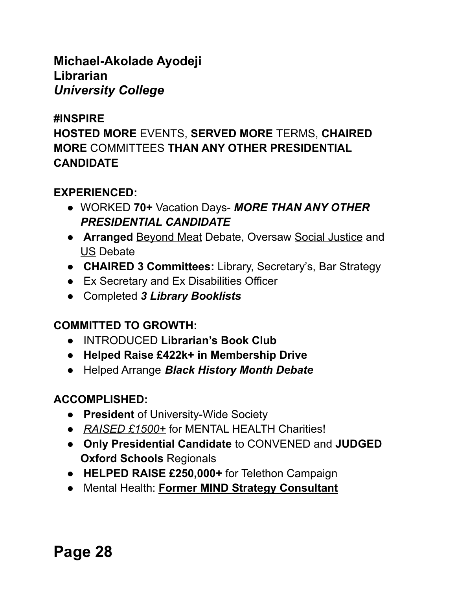### **Michael-Akolade Ayodeji Librarian** *University College*

#### **#INSPIRE**

**HOSTED MORE** EVENTS, **SERVED MORE** TERMS, **CHAIRED MORE** COMMITTEES **THAN ANY OTHER PRESIDENTIAL CANDIDATE**

### **EXPERIENCED:**

- WORKED **70+** Vacation Days- *MORE THAN ANY OTHER PRESIDENTIAL CANDIDATE*
- **Arranged Beyond Meat Debate, Oversaw Social Justice and** US Debate
- **CHAIRED 3 Committees:** Library, Secretary's, Bar Strategy
- Ex Secretary and Ex Disabilities Officer
- Completed *3 Library Booklists*

### **COMMITTED TO GROWTH:**

- INTRODUCED **Librarian's Book Club**
- **Helped Raise £422k+ in Membership Drive**
- Helped Arrange *Black History Month Debate*

### **ACCOMPLISHED:**

- **President** of University-Wide Society
- *RAISED £1500+* for MENTAL HEALTH Charities!
- **Only Presidential Candidate** to CONVENED and **JUDGED Oxford Schools** Regionals
- **HELPED RAISE £250,000+** for Telethon Campaign
- Mental Health: **Former MIND Strategy Consultant**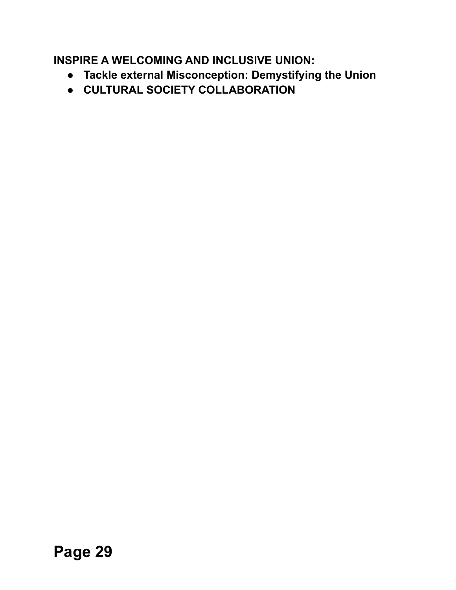**INSPIRE A WELCOMING AND INCLUSIVE UNION:**

- **Tackle external Misconception: Demystifying the Union**
- **CULTURAL SOCIETY COLLABORATION**